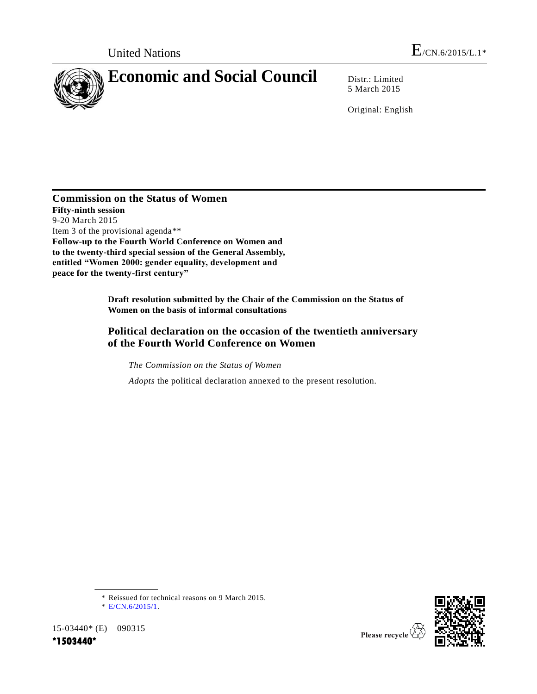

5 March 2015

Original: English

### **Commission on the Status of Women Fifty-ninth session** 9-20 March 2015 Item 3 of the provisional agenda\*\* **Follow-up to the Fourth World Conference on Women and to the twenty-third special session of the General Assembly, entitled "Women 2000: gender equality, development and peace for the twenty-first century"**

**Draft resolution submitted by the Chair of the Commission on the Status of Women on the basis of informal consultations**

# **Political declaration on the occasion of the twentieth anniversary of the Fourth World Conference on Women**

*The Commission on the Status of Women*

*Adopts* the political declaration annexed to the present resolution.

15-03440\* (E) 090315 **\*1503440\*** 



<sup>\*</sup> Reissued for technical reasons on 9 March 2015.

<sup>\*</sup> [E/CN.6/2015/1.](http://undocs.org/E/CN.6/2015/1)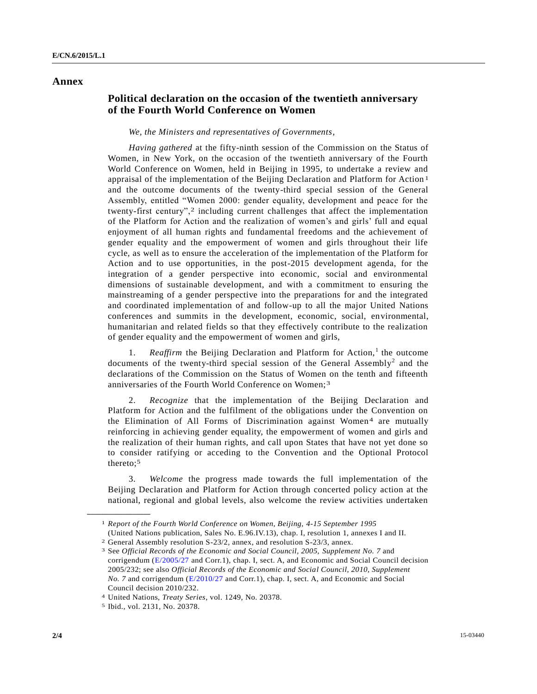### **Annex**

## **Political declaration on the occasion of the twentieth anniversary of the Fourth World Conference on Women**

#### *We, the Ministers and representatives of Governments*,

*Having gathered* at the fifty-ninth session of the Commission on the Status of Women, in New York, on the occasion of the twentieth anniversary of the Fourth World Conference on Women, held in Beijing in 1995, to undertake a review and appraisal of the implementation of the Beijing Declaration and Platform for Action 1 and the outcome documents of the twenty-third special session of the General Assembly, entitled "Women 2000: gender equality, development and peace for the twenty-first century",2 including current challenges that affect the implementation of the Platform for Action and the realization of women's and girls' full and equal enjoyment of all human rights and fundamental freedoms and the achievement of gender equality and the empowerment of women and girls throughout their life cycle, as well as to ensure the acceleration of the implementation of the Platform for Action and to use opportunities, in the post-2015 development agenda, for the integration of a gender perspective into economic, social and environmental dimensions of sustainable development, and with a commitment to ensuring the mainstreaming of a gender perspective into the preparations for and the integrated and coordinated implementation of and follow-up to all the major United Nations conferences and summits in the development, economic, social, environmental, humanitarian and related fields so that they effectively contribute to the realization of gender equality and the empowerment of women and girls,

1. *Reaffirm* the Beijing Declaration and Platform for Action,<sup>1</sup> the outcome documents of the twenty-third special session of the General Assembly<sup>2</sup> and the declarations of the Commission on the Status of Women on the tenth and fifteenth anniversaries of the Fourth World Conference on Women; 3

2. *Recognize* that the implementation of the Beijing Declaration and Platform for Action and the fulfilment of the obligations under the Convention on the Elimination of All Forms of Discrimination against Women4 are mutually reinforcing in achieving gender equality, the empowerment of women and girls and the realization of their human rights, and call upon States that have not yet done so to consider ratifying or acceding to the Convention and the Optional Protocol thereto;5

3. *Welcome* the progress made towards the full implementation of the Beijing Declaration and Platform for Action through concerted policy action at the national, regional and global levels, also welcome the review activities undertaken

**\_\_\_\_\_\_\_\_\_\_\_\_\_\_\_\_\_\_**

<sup>1</sup> *Report of the Fourth World Conference on Women, Beijing, 4-15 September 1995* (United Nations publication, Sales No. E.96.IV.13), chap. I, resolution 1, annexes I and II.

<sup>2</sup> General Assembly resolution S-23/2, annex, and resolution S-23/3, annex.

<sup>3</sup> See *Official Records of the Economic and Social Council, 2005, Supplement No. 7* and corrigendum [\(E/2005/27](http://undocs.org/E/2005/27) and Corr.1), chap. I, sect. A, and Economic and Social Council decision 2005/232; see also *Official Records of the Economic and Social Council, 2010, Supplement No. 7* and corrigendum [\(E/2010/27](http://undocs.org/E/2010/27) and Corr.1), chap. I, sect. A, and Economic and Social Council decision 2010/232.

<sup>4</sup> United Nations, *Treaty Series*, vol. 1249, No. 20378.

<sup>5</sup> Ibid., vol. 2131, No. 20378.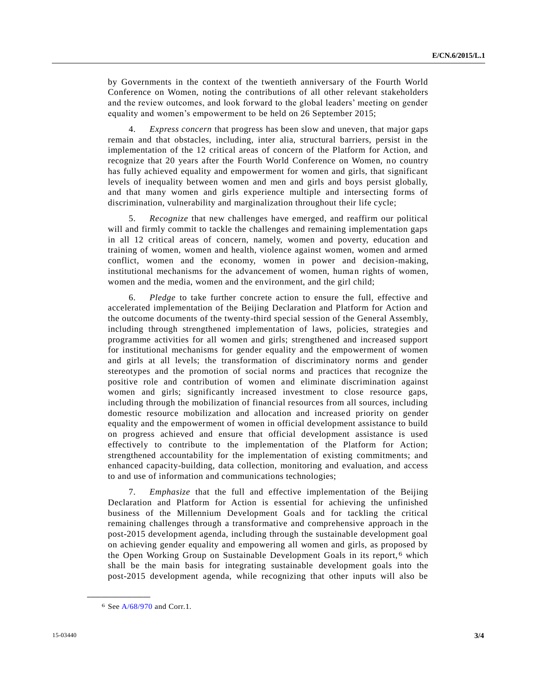by Governments in the context of the twentieth anniversary of the Fourth World Conference on Women, noting the contributions of all other relevant stakeholders and the review outcomes, and look forward to the global leaders' meeting on gender equality and women's empowerment to be held on 26 September 2015;

4. *Express concern* that progress has been slow and uneven, that major gaps remain and that obstacles, including, inter alia, structural barriers, persist in the implementation of the 12 critical areas of concern of the Platform for Action, and recognize that 20 years after the Fourth World Conference on Women, no country has fully achieved equality and empowerment for women and girls, that significant levels of inequality between women and men and girls and boys persist globally, and that many women and girls experience multiple and intersecting forms of discrimination, vulnerability and marginalization throughout their life cycle;

5. *Recognize* that new challenges have emerged, and reaffirm our political will and firmly commit to tackle the challenges and remaining implementation gaps in all 12 critical areas of concern, namely, women and poverty, education and training of women, women and health, violence against women, women and armed conflict, women and the economy, women in power and decision-making, institutional mechanisms for the advancement of women, human rights of women, women and the media, women and the environment, and the girl child;

6. *Pledge* to take further concrete action to ensure the full, effective and accelerated implementation of the Beijing Declaration and Platform for Action and the outcome documents of the twenty-third special session of the General Assembly, including through strengthened implementation of laws, policies, strategies and programme activities for all women and girls; strengthened and increased support for institutional mechanisms for gender equality and the empowerment of women and girls at all levels; the transformation of discriminatory norms and gender stereotypes and the promotion of social norms and practices that recognize the positive role and contribution of women and eliminate discrimination against women and girls; significantly increased investment to close resource gaps, including through the mobilization of financial resources from all sources, including domestic resource mobilization and allocation and increased priority on gender equality and the empowerment of women in official development assistance to build on progress achieved and ensure that official development assistance is used effectively to contribute to the implementation of the Platform for Action; strengthened accountability for the implementation of existing commitments; and enhanced capacity-building, data collection, monitoring and evaluation, and access to and use of information and communications technologies;

7. *Emphasize* that the full and effective implementation of the Beijing Declaration and Platform for Action is essential for achieving the unfinished business of the Millennium Development Goals and for tackling the critical remaining challenges through a transformative and comprehensive approach in the post-2015 development agenda, including through the sustainable development goal on achieving gender equality and empowering all women and girls, as proposed by the Open Working Group on Sustainable Development Goals in its report, 6 which shall be the main basis for integrating sustainable development goals into the post-2015 development agenda, while recognizing that other inputs will also be

**\_\_\_\_\_\_\_\_\_\_\_\_\_\_\_\_\_\_**

<sup>6</sup> Se[e A/68/970](http://undocs.org/A/68/970) and Corr.1.